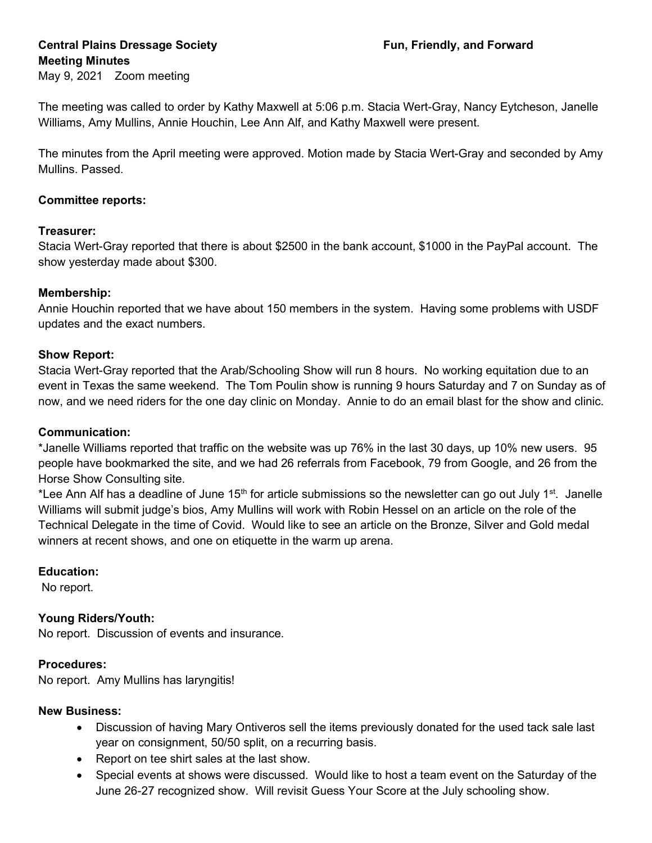## Central Plains Dressage Society **Fundally**, and Forward Meeting Minutes May 9, 2021 Zoom meeting

The meeting was called to order by Kathy Maxwell at 5:06 p.m. Stacia Wert-Gray, Nancy Eytcheson, Janelle Williams, Amy Mullins, Annie Houchin, Lee Ann Alf, and Kathy Maxwell were present.

The minutes from the April meeting were approved. Motion made by Stacia Wert-Gray and seconded by Amy Mullins. Passed.

# Committee reports:

## Treasurer:

Stacia Wert-Gray reported that there is about \$2500 in the bank account, \$1000 in the PayPal account. The show yesterday made about \$300.

## Membership:

Annie Houchin reported that we have about 150 members in the system. Having some problems with USDF updates and the exact numbers.

### Show Report:

Stacia Wert-Gray reported that the Arab/Schooling Show will run 8 hours. No working equitation due to an event in Texas the same weekend. The Tom Poulin show is running 9 hours Saturday and 7 on Sunday as of now, and we need riders for the one day clinic on Monday. Annie to do an email blast for the show and clinic.

#### Communication:

\*Janelle Williams reported that traffic on the website was up 76% in the last 30 days, up 10% new users. 95 people have bookmarked the site, and we had 26 referrals from Facebook, 79 from Google, and 26 from the Horse Show Consulting site.

\*Lee Ann Alf has a deadline of June 15<sup>th</sup> for article submissions so the newsletter can go out July 1<sup>st</sup>. Janelle Williams will submit judge's bios, Amy Mullins will work with Robin Hessel on an article on the role of the Technical Delegate in the time of Covid. Would like to see an article on the Bronze, Silver and Gold medal winners at recent shows, and one on etiquette in the warm up arena.

## Education:

No report.

## Young Riders/Youth:

No report. Discussion of events and insurance.

## Procedures:

No report. Amy Mullins has laryngitis!

#### New Business:

- Discussion of having Mary Ontiveros sell the items previously donated for the used tack sale last year on consignment, 50/50 split, on a recurring basis.
- Report on tee shirt sales at the last show.
- Special events at shows were discussed. Would like to host a team event on the Saturday of the June 26-27 recognized show. Will revisit Guess Your Score at the July schooling show.